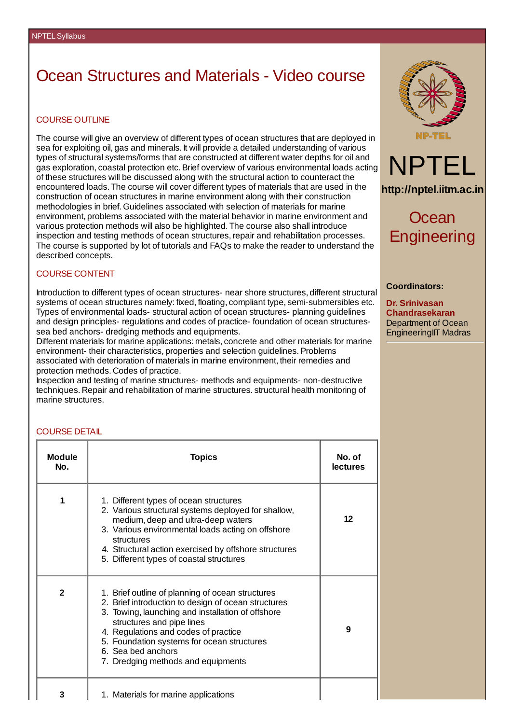# Ocean Structures and Materials - Video course

### COURSE OUTLINE

The course will give an overview of different types of ocean structures that are deployed in sea for exploiting oil, gas and minerals. It will provide a detailed understanding of various types of structural systems/forms that are constructed at different water depths for oil and gas exploration, coastal protection etc.Brief overview of various environmental loads acting of these structures will be discussed along with the structural action to counteract the encountered loads. The course will cover different types of materials that are used in the construction of ocean structures in marine environment along with their construction methodologies in brief. Guidelines associated with selection of materials for marine environment, problems associated with the material behavior in marine environment and various protection methods will also be highlighted. The course also shall introduce inspection and testing methods of ocean structures, repair and rehabilitation processes. The course is supported by lot of tutorials and FAQs to make the reader to understand the described concepts.

### COURSE CONTENT

Introduction to different types of ocean structures- near shore structures, different structural systems of ocean structures namely: fixed, floating, compliant type, semi-submersibles etc. Types of environmental loads- structural action of ocean structures- planning guidelines and design principles- regulations and codes of practice- foundation of ocean structuressea bed anchors- dredging methods and equipments.

Different materials for marine applications: metals, concrete and other materials for marine environment- their characteristics, properties and selection guidelines. Problems associated with deterioration of materials in marine environment, their remedies and protection methods. Codes of practice.

Inspection and testing of marine structures- methods and equipments- non-destructive techniques. Repair and rehabilitation of marine structures. structural health monitoring of marine structures.



**http://nptel.iitm.ac.in**

Ocean **Engineering** 

#### **Coordinators:**

**Dr. Srinivasan Chandrasekaran** Department of Ocean EngineeringIIT Madras

#### COURSE DETAIL

| <b>Module</b><br>No. | <b>Topics</b>                                                                                                                                                                                                                                                                                                                               | No. of<br><b>lectures</b> |
|----------------------|---------------------------------------------------------------------------------------------------------------------------------------------------------------------------------------------------------------------------------------------------------------------------------------------------------------------------------------------|---------------------------|
| 1                    | 1. Different types of ocean structures<br>2. Various structural systems deployed for shallow,<br>medium, deep and ultra-deep waters<br>3. Various environmental loads acting on offshore<br>structures<br>4. Structural action exercised by offshore structures<br>5. Different types of coastal structures                                 | 12                        |
| $\overline{2}$       | 1. Brief outline of planning of ocean structures<br>2. Brief introduction to design of ocean structures<br>3. Towing, launching and installation of offshore<br>structures and pipe lines<br>4. Regulations and codes of practice<br>5. Foundation systems for ocean structures<br>6. Sea bed anchors<br>7. Dredging methods and equipments | 9                         |
| 3                    | 1. Materials for marine applications                                                                                                                                                                                                                                                                                                        |                           |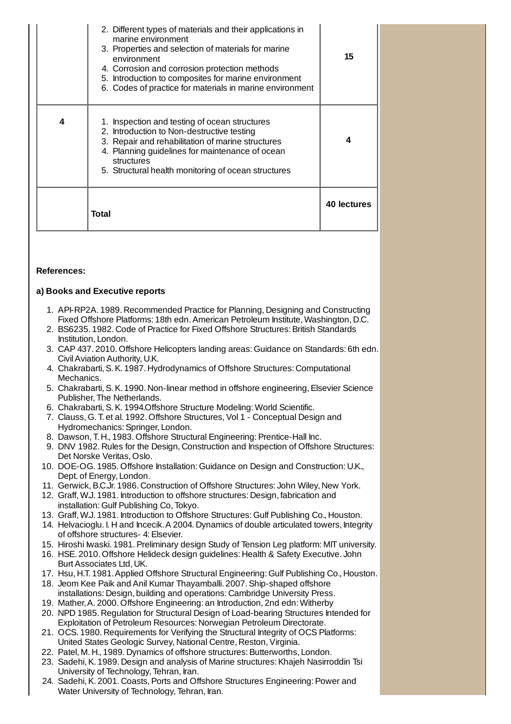|   | 2. Different types of materials and their applications in<br>marine environment<br>3. Properties and selection of materials for marine<br>environment<br>4. Corrosion and corrosion protection methods<br>5. Introduction to composites for marine environment<br>6. Codes of practice for materials in marine environment | 15          |
|---|----------------------------------------------------------------------------------------------------------------------------------------------------------------------------------------------------------------------------------------------------------------------------------------------------------------------------|-------------|
| 4 | 1. Inspection and testing of ocean structures<br>2. Introduction to Non-destructive testing<br>3. Repair and rehabilitation of marine structures<br>4. Planning guidelines for maintenance of ocean<br>structures<br>5. Structural health monitoring of ocean structures                                                   | 4           |
|   | Total                                                                                                                                                                                                                                                                                                                      | 40 lectures |

# **References:**

# **a) Books and Executive reports**

- 1. API-RP2A. 1989. Recommended Practice for Planning, Designing and Constructing Fixed Offshore Platforms: 18th edn.American Petroleum Institute, Washington, D.C.
- 2. BS6235. 1982. Code of Practice for Fixed Offshore Structures: British Standards Institution, London.
- 3. CAP 437. 2010. Offshore Helicopters landing areas: Guidance on Standards: 6th edn. CivilAviation Authority, U.K.
- 4. Chakrabarti,S.K. 1987. Hydrodynamics of Offshore Structures: Computational Mechanics.
- 5. Chakrabarti, S.K. 1990. Non-linear method in offshore engineering, Elsevier Science Publisher, The Netherlands.
- 6. Chakrabarti,S.K. 1994.Offshore Structure Modeling: World Scientific.
- 7. Clauss, G. T. et al. 1992. Offshore Structures, Vol 1 Conceptual Design and Hydromechanics: Springer, London.
- 8. Dawson, T. H., 1983. Offshore Structural Engineering: Prentice-Hall Inc.
- 9. DNV 1982. Rules for the Design, Construction and Inspection of Offshore Structures: Det Norske Veritas, Oslo.
- 10. DOE-OG. 1985. Offshore Installation: Guidance on Design and Construction: U.K., Dept. of Energy, London.
- 11. Gerwick,B.C.Jr. 1986. Construction of Offshore Structures: John Wiley, New York.
- 12. Graff, W.J. 1981. Introduction to offshore structures: Design, fabrication and installation: Gulf Publishing Co, Tokyo.
- 13. Graff, W.J. 1981. Introduction to Offshore Structures: Gulf Publishing Co., Houston.
- 14. Helvacioglu. I. H and Incecik.A 2004. Dynamics of double articulated towers, Integrity of offshore structures- 4: Elsevier.
- 15. Hiroshi Iwaski. 1981.Preliminary design Study of Tension Leg platform: MIT university.
- 16. HSE. 2010. Offshore Helideck design guidelines: Health & Safety Executive. John BurtAssociates Ltd, UK.
- 17. Hsu, H.T. 1981.Applied Offshore Structural Engineering: Gulf Publishing Co., Houston.
- 18. Jeom Kee Paik and Anil Kumar Thayamballi. 2007.Ship-shaped offshore installations: Design, building and operations: Cambridge University Press.
- 19. Mather,A. 2000. Offshore Engineering: an Introduction, 2nd edn: Witherby
- 20. NPD 1985. Regulation for Structural Design of Load-bearing Structures Intended for Exploitation of Petroleum Resources: Norwegian Petroleum Directorate.
- 21. OCS. 1980. Requirements for Verifying the Structural Integrity of OCS Platforms: United States Geologic Survey, National Centre, Reston, Virginia.
- 22. Patel, M. H., 1989. Dynamics of offshore structures: Butterworths, London.
- 23. Sadehi, K. 1989. Design and analysis of Marine structures: Khajeh Nasirroddin Tsi University of Technology, Tehran, Iran.
- 24. Sadehi, K. 2001. Coasts, Ports and Offshore Structures Engineering: Power and Water University of Technology, Tehran, Iran.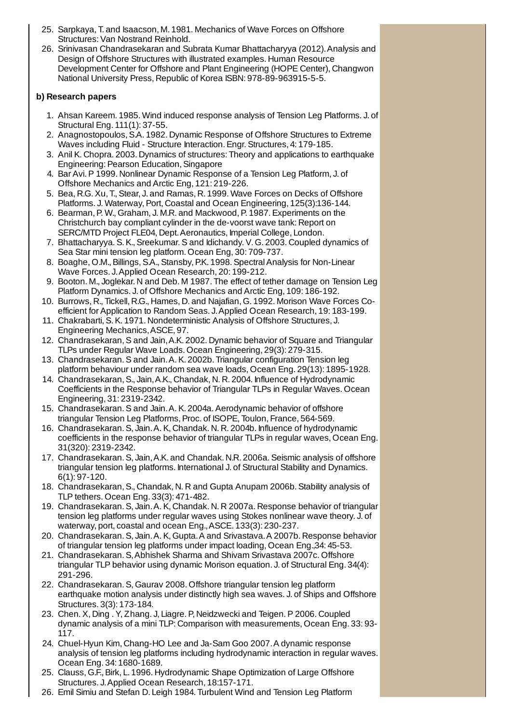- 25. Sarpkaya, T. and Isaacson, M. 1981. Mechanics of Wave Forces on Offshore Structures: Van Nostrand Reinhold.
- 26. Srinivasan Chandrasekaran and Subrata Kumar Bhattacharyya (2012).Analysis and Design of Offshore Structures with illustrated examples. Human Resource Development Center for Offshore and Plant Engineering (HOPE Center), Changwon National University Press, Republic of Korea ISBN: 978-89-963915-5-5.

# **b) Research papers**

- 1. Ahsan Kareem. 1985. Wind induced response analysis of Tension Leg Platforms. J. of Structural Eng. 111(1): 37-55.
- 2. Anagnostopoulos, S.A. 1982. Dynamic Response of Offshore Structures to Extreme Waves including Fluid - Structure Interaction.Engr.Structures, 4: 179-185.
- 3. Anil K. Chopra. 2003. Dynamics of structures: Theory and applications to earthquake Engineering: Pearson Education, Singapore
- 4. Bar Avi.P 1999. Nonlinear Dynamic Response of a Tension Leg Platform, J. of Offshore Mechanics and Arctic Eng, 121: 219-226.
- 5. Bea, R.G.Xu, T.,Stear, J. and Ramas, R. 1999. Wave Forces on Decks of Offshore Platforms. J. Waterway, Port, Coastal and Ocean Engineering, 125(3):136-144.
- 6. Bearman, P. W., Graham, J. M.R. and Mackwood, P. 1987. Experiments on the Christchurch bay compliant cylinder in the de-voorst wave tank: Report on SERC/MTD Project FLE04, Dept. Aeronautics, Imperial College, London.
- 7. Bhattacharyya. S. K., Sreekumar. S and Idichandy. V. G. 2003. Coupled dynamics of Sea Star mini tension leg platform. Ocean Eng, 30: 709-737.
- 8. Boaghe, O.M., Billings, S.A., Stansby, P.K. 1998. Spectral Analysis for Non-Linear Wave Forces. J.Applied Ocean Research, 20: 199-212.
- 9. Booton. M., Joglekar. N and Deb. M 1987. The effect of tether damage on Tension Leg Platform Dynamics. J. of Offshore Mechanics and Arctic Eng, 109: 186-192.
- 10. Burrows, R., Tickell, R.G., Hames, D. and Najafian, G. 1992. Morison Wave Forces Coefficient for Application to Random Seas. J.Applied Ocean Research, 19: 183-199.
- 11. Chakrabarti,S.K. 1971. Nondeterministic Analysis of Offshore Structures, J. Engineering Mechanics,ASCE, 97.
- 12. Chandrasekaran,S and Jain,A.K. 2002. Dynamic behavior of Square and Triangular TLPs under Regular Wave Loads. Ocean Engineering, 29(3): 279-315.
- 13. Chandrasekaran.S and Jain.A.K. 2002b. Triangular configuration Tension leg platform behaviour under random sea wave loads, Ocean Eng. 29(13): 1895-1928.
- 14. Chandrasekaran,S., Jain,A.K., Chandak, N. R. 2004. Influence of Hydrodynamic Coefficients in the Response behavior of Triangular TLPs in Regular Waves. Ocean Engineering, 31: 2319-2342.
- 15. Chandrasekaran.S and Jain.A.K. 2004a.Aerodynamic behavior of offshore triangular Tension Leg Platforms, Proc. of ISOPE, Toulon, France, 564-569.
- 16. Chandrasekaran.S, Jain.A.K, Chandak. N. R. 2004b. Influence of hydrodynamic coefficients in the response behavior of triangular TLPs in regular waves, Ocean Eng. 31(320): 2319-2342.
- 17. Chandrasekaran.S, Jain,A.K. and Chandak. N.R. 2006a.Seismic analysis of offshore triangular tension leg platforms. International J. of Structural Stability and Dynamics. 6(1): 97-120.
- 18. Chandrasekaran,S., Chandak, N. R and Gupta Anupam 2006b.Stability analysis of TLP tethers. Ocean Eng. 33(3): 471-482.
- 19. Chandrasekaran.S, Jain.A.K, Chandak. N. R 2007a. Response behavior of triangular tension leg platforms under regular waves using Stokes nonlinear wave theory. J. of waterway, port, coastal and ocean Eng.,ASCE. 133(3): 230-237.
- 20. Chandrasekaran.S, Jain.A.K, Gupta.A and Srivastava.A 2007b. Response behavior of triangular tension leg platforms under impact loading, Ocean Eng.,34: 45-53.
- 21. Chandrasekaran.S,Abhishek Sharma and Shivam Srivastava 2007c. Offshore triangular TLP behavior using dynamic Morison equation. J. of Structural Eng. 34(4): 291-296.
- 22. Chandrasekaran.S, Gaurav 2008. Offshore triangular tension leg platform earthquake motion analysis under distinctly high sea waves. J. of Ships and Offshore Structures. 3(3): 173-184.
- 23. Chen.X, Ding .Y, Zhang. J, Liagre.P, Neidzwecki and Teigen.P 2006. Coupled dynamic analysis of a mini TLP: Comparison with measurements, Ocean Eng. 33: 93- 117.
- 24. Chuel-Hyun Kim, Chang-HO Lee and Ja-Sam Goo 2007.A dynamic response analysis of tension leg platforms including hydrodynamic interaction in regular waves. Ocean Eng. 34: 1680-1689.
- 25. Clauss, G.F.,Birk, L. 1996. Hydrodynamic Shape Optimization of Large Offshore Structures. J.Applied Ocean Research, 18:157-171.
- 26. Emil Simiu and Stefan D. Leigh 1984. Turbulent Wind and Tension Leg Platform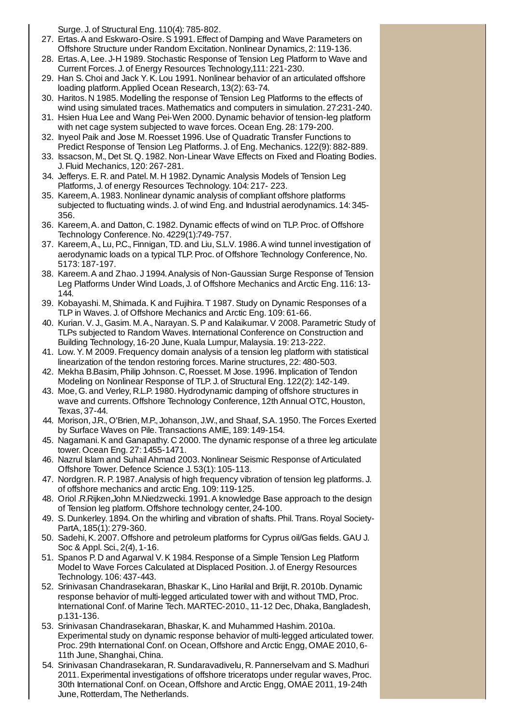Surge. J. of Structural Eng. 110(4): 785-802.

- 27. Ertas.A and Eskwaro-Osire.S 1991.Effect of Damping and Wave Parameters on Offshore Structure under Random Excitation. Nonlinear Dynamics, 2: 119-136.
- 28. Ertas. A, Lee. J-H 1989. Stochastic Response of Tension Leg Platform to Wave and Current Forces. J. of Energy Resources Technology,111: 221-230.
- 29. Han S. Choi and Jack Y.K. Lou 1991. Nonlinear behavior of an articulated offshore loading platform.Applied Ocean Research, 13(2): 63-74.
- 30. Haritos. N 1985. Modelling the response of Tension Leg Platforms to the effects of wind using simulated traces. Mathematics and computers in simulation. 27:231-240.
- 31. Hsien Hua Lee and Wang Pei-Wen 2000. Dynamic behavior of tension-leg platform with net cage system subjected to wave forces. Ocean Eng. 28: 179-200.
- 32. Inyeol Paik and Jose M. Roesset 1996. Use of Quadratic Transfer Functions to Predict Response of Tension Leg Platforms. J. of Eng. Mechanics. 122(9): 882-889.
- 33. Issacson, M., Det St. Q. 1982. Non-Linear Wave Effects on Fixed and Floating Bodies. J. Fluid Mechanics, 120: 267-281.
- 34. Jefferys.E. R. and Patel. M. H 1982. Dynamic Analysis Models of Tension Leg Platforms, J. of energy Resources Technology. 104: 217- 223.
- 35. Kareem,A. 1983. Nonlinear dynamic analysis of compliant offshore platforms subjected to fluctuating winds. J. of wind Eng. and Industrial aerodynamics. 14: 345- 356.
- 36. Kareem,A. and Datton, C. 1982. Dynamic effects of wind on TLP.Proc. of Offshore Technology Conference. No. 4229(1):749-757.
- 37. Kareem, A., Lu, P.C., Finnigan, T.D. and Liu, S.L.V. 1986. A wind tunnel investigation of aerodynamic loads on a typical TLP. Proc. of Offshore Technology Conference, No. 5173: 187-197.
- 38. Kareem.A and Zhao. J 1994.Analysis of Non-Gaussian Surge Response of Tension Leg Platforms Under Wind Loads, J. of Offshore Mechanics and Arctic Eng. 116: 13- 144.
- 39. Kobayashi. M,Shimada.K and Fujihira. T 1987.Study on Dynamic Responses of a TLP in Waves. J. of Offshore Mechanics and Arctic Eng. 109: 61-66.
- 40. Kurian.V. J., Gasim. M.A., Narayan.S.P and Kalaikumar.V 2008.Parametric Study of TLPs subjected to Random Waves. International Conference on Construction and Building Technology, 16-20 June, Kuala Lumpur, Malaysia. 19: 213-222.
- 41. Low.Y. M 2009. Frequency domain analysis of a tension leg platform with statistical linearization of the tendon restoring forces. Marine structures, 22: 480-503.
- 42. Mekha B.Basim,Philip Johnson. C, Roesset. M Jose. 1996. Implication of Tendon Modeling on Nonlinear Response of TLP. J. of Structural Eng. 122(2): 142-149.
- 43. Moe, G. and Verley, R.L.P. 1980. Hydrodynamic damping of offshore structures in wave and currents. Offshore Technology Conference, 12th Annual OTC, Houston, Texas, 37-44.
- 44. Morison, J.R., O'Brien, M.P., Johanson, J.W., and Shaaf, S.A. 1950. The Forces Exerted by Surface Waves on Pile. Transactions AMIE, 189: 149-154.
- 45. Nagamani.K and Ganapathy. C 2000. The dynamic response of a three leg articulate tower. Ocean Eng. 27: 1455-1471.
- 46. Nazrul Islam and Suhail Ahmad 2003. Nonlinear Seismic Response of Articulated Offshore Tower. Defence Science J. 53(1): 105-113.
- 47. Nordgren. R.P. 1987.Analysis of high frequency vibration of tension leg platforms. J. of offshore mechanics and arctic Eng. 109: 119-125.
- 48. Oriol .R.Rijken,John M.Niedzwecki. 1991.A knowledge Base approach to the design of Tension leg platform. Offshore technology center, 24-100.
- 49. S. Dunkerley. 1894. On the whirling and vibration of shafts.Phil. Trans. Royal Society-PartA, 185(1): 279-360.
- 50. Sadehi,K. 2007. Offshore and petroleum platforms for Cyprus oil/Gas fields. GAU J. Soc & Appl. Sci., 2(4), 1-16.
- 51. Spanos P. D and Agarwal V.K 1984. Response of a Simple Tension Leg Platform Model to Wave Forces Calculated at Displaced Position. J. of Energy Resources Technology. 106: 437-443.
- 52. Srinivasan Chandrasekaran, Bhaskar K., Lino Harilal and Brijit, R. 2010b. Dynamic response behavior of multi-legged articulated tower with and without TMD, Proc. International Conf. of Marine Tech. MARTEC-2010., 11-12 Dec, Dhaka, Bangladesh, p.131-136.
- 53. Srinivasan Chandrasekaran, Bhaskar, K. and Muhammed Hashim. 2010a. Experimental study on dynamic response behavior of multi-legged articulated tower. Proc. 29th International Conf. on Ocean, Offshore and Arctic Engg, OMAE 2010, 6- 11th June, Shanghai, China.
- 54. Srinivasan Chandrasekaran, R.Sundaravadivelu, R.Pannerselvam and S. Madhuri 2011. Experimental investigations of offshore triceratops under regular waves, Proc. 30th International Conf. on Ocean, Offshore and Arctic Engg, OMAE 2011, 19-24th June, Rotterdam, The Netherlands.